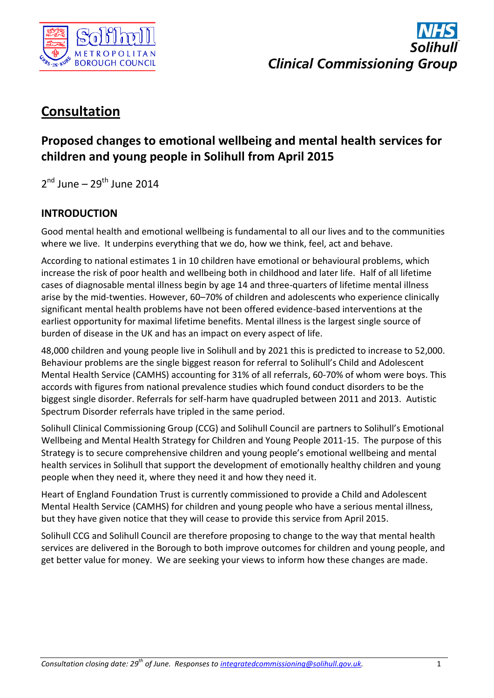



# **Consultation**

# **Proposed changes to emotional wellbeing and mental health services for children and young people in Solihull from April 2015**

2<sup>nd</sup> June – 29<sup>th</sup> June 2014

## **INTRODUCTION**

Good mental health and emotional wellbeing is fundamental to all our lives and to the communities where we live. It underpins everything that we do, how we think, feel, act and behave.

According to national estimates 1 in 10 children have emotional or behavioural problems, which increase the risk of poor health and wellbeing both in childhood and later life. Half of all lifetime cases of diagnosable mental illness begin by age 14 and three-quarters of lifetime mental illness arise by the mid-twenties. However, 60–70% of children and adolescents who experience clinically significant mental health problems have not been offered evidence-based interventions at the earliest opportunity for maximal lifetime benefits. Mental illness is the largest single source of burden of disease in the UK and has an impact on every aspect of life.

48,000 children and young people live in Solihull and by 2021 this is predicted to increase to 52,000. Behaviour problems are the single biggest reason for referral to Solihull's Child and Adolescent Mental Health Service (CAMHS) accounting for 31% of all referrals, 60-70% of whom were boys. This accords with figures from national prevalence studies which found conduct disorders to be the biggest single disorder. Referrals for self-harm have quadrupled between 2011 and 2013. Autistic Spectrum Disorder referrals have tripled in the same period.

Solihull Clinical Commissioning Group (CCG) and Solihull Council are partners to Solihull's Emotional Wellbeing and Mental Health Strategy for Children and Young People 2011-15. The purpose of this Strategy is to secure comprehensive children and young people's emotional wellbeing and mental health services in Solihull that support the development of emotionally healthy children and young people when they need it, where they need it and how they need it.

Heart of England Foundation Trust is currently commissioned to provide a Child and Adolescent Mental Health Service (CAMHS) for children and young people who have a serious mental illness, but they have given notice that they will cease to provide this service from April 2015.

Solihull CCG and Solihull Council are therefore proposing to change to the way that mental health services are delivered in the Borough to both improve outcomes for children and young people, and get better value for money. We are seeking your views to inform how these changes are made.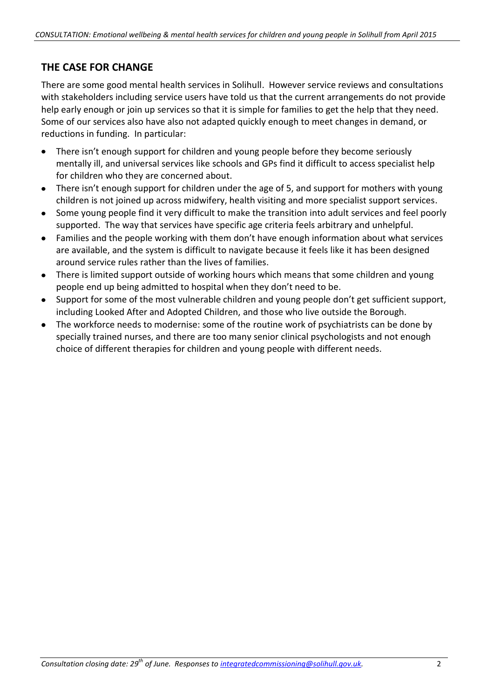## **THE CASE FOR CHANGE**

There are some good mental health services in Solihull. However service reviews and consultations with stakeholders including service users have told us that the current arrangements do not provide help early enough or join up services so that it is simple for families to get the help that they need. Some of our services also have also not adapted quickly enough to meet changes in demand, or reductions in funding. In particular:

- $\bullet$ There isn't enough support for children and young people before they become seriously mentally ill, and universal services like schools and GPs find it difficult to access specialist help for children who they are concerned about.
- There isn't enough support for children under the age of 5, and support for mothers with young children is not joined up across midwifery, health visiting and more specialist support services.
- Some young people find it very difficult to make the transition into adult services and feel poorly  $\bullet$ supported. The way that services have specific age criteria feels arbitrary and unhelpful.
- Families and the people working with them don't have enough information about what services are available, and the system is difficult to navigate because it feels like it has been designed around service rules rather than the lives of families.
- There is limited support outside of working hours which means that some children and young people end up being admitted to hospital when they don't need to be.
- Support for some of the most vulnerable children and young people don't get sufficient support, including Looked After and Adopted Children, and those who live outside the Borough.
- The workforce needs to modernise: some of the routine work of psychiatrists can be done by  $\bullet$ specially trained nurses, and there are too many senior clinical psychologists and not enough choice of different therapies for children and young people with different needs.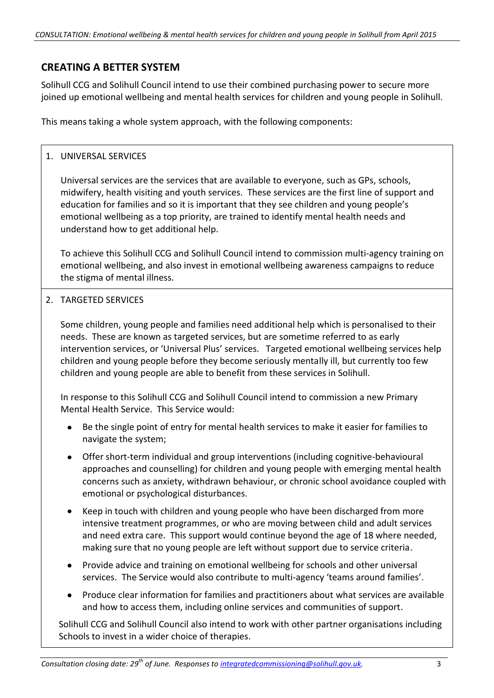## **CREATING A BETTER SYSTEM**

Solihull CCG and Solihull Council intend to use their combined purchasing power to secure more joined up emotional wellbeing and mental health services for children and young people in Solihull.

This means taking a whole system approach, with the following components:

### 1. UNIVERSAL SERVICES

Universal services are the services that are available to everyone, such as GPs, schools, midwifery, health visiting and youth services. These services are the first line of support and education for families and so it is important that they see children and young people's emotional wellbeing as a top priority, are trained to identify mental health needs and understand how to get additional help.

To achieve this Solihull CCG and Solihull Council intend to commission multi-agency training on emotional wellbeing, and also invest in emotional wellbeing awareness campaigns to reduce the stigma of mental illness.

2. TARGETED SERVICES

Some children, young people and families need additional help which is personalised to their needs. These are known as targeted services, but are sometime referred to as early intervention services, or 'Universal Plus' services. Targeted emotional wellbeing services help children and young people before they become seriously mentally ill, but currently too few children and young people are able to benefit from these services in Solihull.

In response to this Solihull CCG and Solihull Council intend to commission a new Primary Mental Health Service. This Service would:

- Be the single point of entry for mental health services to make it easier for families to navigate the system;
- Offer short-term individual and group interventions (including cognitive-behavioural approaches and counselling) for children and young people with emerging mental health concerns such as anxiety, withdrawn behaviour, or chronic school avoidance coupled with emotional or psychological disturbances.
- Keep in touch with children and young people who have been discharged from more intensive treatment programmes, or who are moving between child and adult services and need extra care. This support would continue beyond the age of 18 where needed, making sure that no young people are left without support due to service criteria.
- Provide advice and training on emotional wellbeing for schools and other universal services. The Service would also contribute to multi-agency 'teams around families'.
- Produce clear information for families and practitioners about what services are available and how to access them, including online services and communities of support.

Solihull CCG and Solihull Council also intend to work with other partner organisations including Schools to invest in a wider choice of therapies.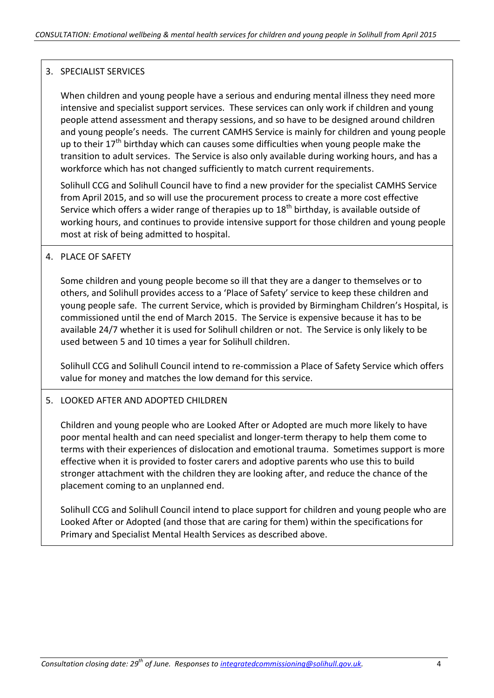### 3. SPECIALIST SERVICES

When children and young people have a serious and enduring mental illness they need more intensive and specialist support services. These services can only work if children and young people attend assessment and therapy sessions, and so have to be designed around children and young people's needs. The current CAMHS Service is mainly for children and young people up to their  $17<sup>th</sup>$  birthday which can causes some difficulties when young people make the transition to adult services. The Service is also only available during working hours, and has a workforce which has not changed sufficiently to match current requirements.

Solihull CCG and Solihull Council have to find a new provider for the specialist CAMHS Service from April 2015, and so will use the procurement process to create a more cost effective Service which offers a wider range of therapies up to  $18<sup>th</sup>$  birthday, is available outside of working hours, and continues to provide intensive support for those children and young people most at risk of being admitted to hospital.

#### 4. PLACE OF SAFETY

Some children and young people become so ill that they are a danger to themselves or to others, and Solihull provides access to a 'Place of Safety' service to keep these children and young people safe. The current Service, which is provided by Birmingham Children's Hospital, is commissioned until the end of March 2015. The Service is expensive because it has to be available 24/7 whether it is used for Solihull children or not. The Service is only likely to be used between 5 and 10 times a year for Solihull children.

Solihull CCG and Solihull Council intend to re-commission a Place of Safety Service which offers value for money and matches the low demand for this service.

#### 5. LOOKED AFTER AND ADOPTED CHILDREN

Children and young people who are Looked After or Adopted are much more likely to have poor mental health and can need specialist and longer-term therapy to help them come to terms with their experiences of dislocation and emotional trauma. Sometimes support is more effective when it is provided to foster carers and adoptive parents who use this to build stronger attachment with the children they are looking after, and reduce the chance of the placement coming to an unplanned end.

Solihull CCG and Solihull Council intend to place support for children and young people who are Looked After or Adopted (and those that are caring for them) within the specifications for Primary and Specialist Mental Health Services as described above.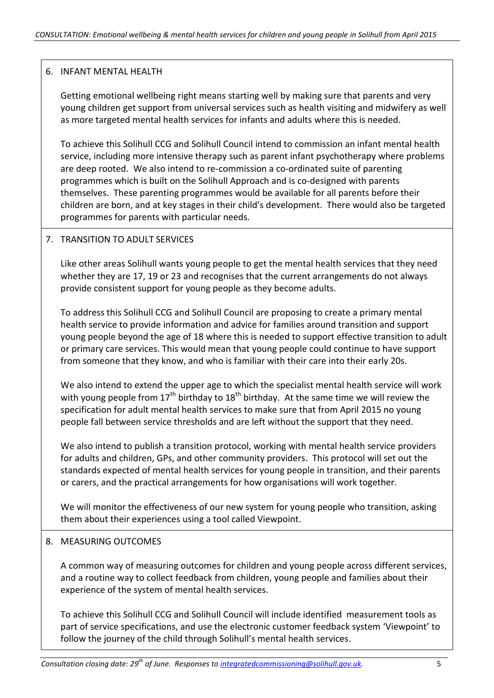#### 6. INFANT MENTAL HEALTH

Getting emotional wellbeing right means starting well by making sure that parents and very young children get support from universal services such as health visiting and midwifery as well as more targeted mental health services for infants and adults where this is needed.

To achieve this Solihull CCG and Solihull Council intend to commission an infant mental health service, including more intensive therapy such as parent infant psychotherapy where problems are deep rooted. We also intend to re-commission a co-ordinated suite of parenting programmes which is built on the Solihull Approach and is co-designed with parents themselves. These parenting programmes would be available for all parents before their children are born, and at key stages in their child's development. There would also be targeted programmes for parents with particular needs.

#### 7. TRANSITION TO ADULT SERVICES

Like other areas Solihull wants young people to get the mental health services that they need whether they are 17, 19 or 23 and recognises that the current arrangements do not always provide consistent support for young people as they become adults.

To address this Solihull CCG and Solihull Council are proposing to create a primary mental health service to provide information and advice for families around transition and support young people beyond the age of 18 where this is needed to support effective transition to adult or primary care services. This would mean that young people could continue to have support from someone that they know, and who is familiar with their care into their early 20s.

We also intend to extend the upper age to which the specialist mental health service will work with young people from  $17<sup>th</sup>$  birthday to  $18<sup>th</sup>$  birthday. At the same time we will review the specification for adult mental health services to make sure that from April 2015 no young people fall between service thresholds and are left without the support that they need.

We also intend to publish a transition protocol, working with mental health service providers for adults and children, GPs, and other community providers. This protocol will set out the standards expected of mental health services for young people in transition, and their parents or carers, and the practical arrangements for how organisations will work together.

We will monitor the effectiveness of our new system for young people who transition, asking them about their experiences using a tool called Viewpoint.

#### 8. MEASURING OUTCOMES

A common way of measuring outcomes for children and young people across different services, and a routine way to collect feedback from children, young people and families about their experience of the system of mental health services.

To achieve this Solihull CCG and Solihull Council will include identified measurement tools as part of service specifications, and use the electronic customer feedback system 'Viewpoint' to follow the journey of the child through Solihull's mental health services.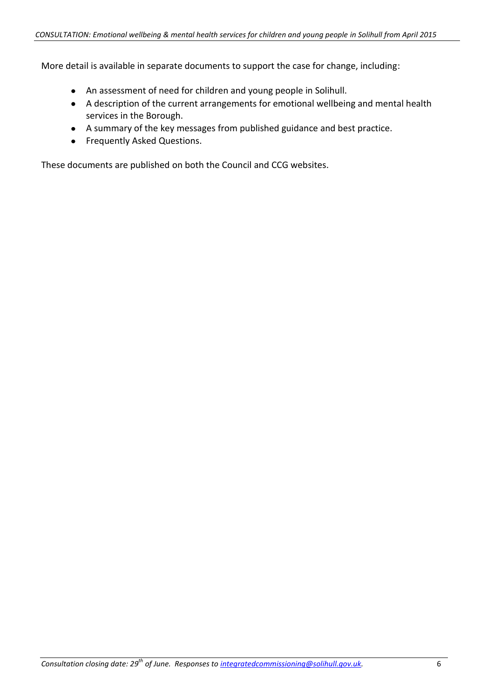More detail is available in separate documents to support the case for change, including:

- An assessment of need for children and young people in Solihull.
- A description of the current arrangements for emotional wellbeing and mental health services in the Borough.
- A summary of the key messages from published guidance and best practice.
- **•** Frequently Asked Questions.

These documents are published on both the Council and CCG websites.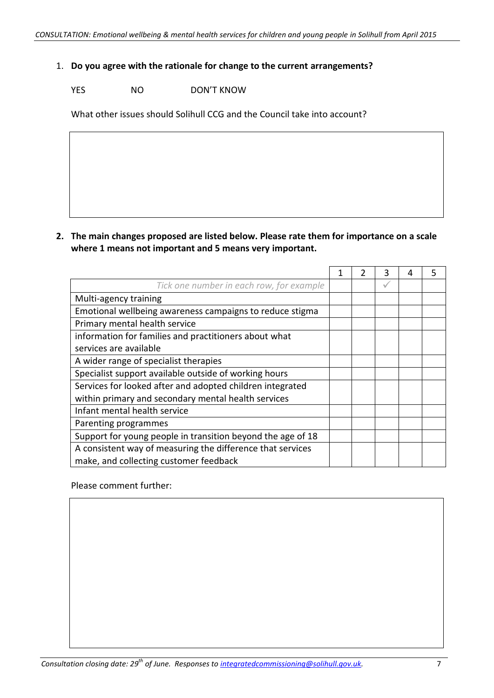#### 1. **Do you agree with the rationale for change to the current arrangements?**

YES NO DON'T KNOW

What other issues should Solihull CCG and the Council take into account?

**2. The main changes proposed are listed below. Please rate them for importance on a scale where 1 means not important and 5 means very important.**

|                                                             | 1 | 2 | 3            | 4 | 5 |
|-------------------------------------------------------------|---|---|--------------|---|---|
| Tick one number in each row, for example                    |   |   | $\checkmark$ |   |   |
| Multi-agency training                                       |   |   |              |   |   |
| Emotional wellbeing awareness campaigns to reduce stigma    |   |   |              |   |   |
| Primary mental health service                               |   |   |              |   |   |
| information for families and practitioners about what       |   |   |              |   |   |
| services are available                                      |   |   |              |   |   |
| A wider range of specialist therapies                       |   |   |              |   |   |
| Specialist support available outside of working hours       |   |   |              |   |   |
| Services for looked after and adopted children integrated   |   |   |              |   |   |
| within primary and secondary mental health services         |   |   |              |   |   |
| Infant mental health service                                |   |   |              |   |   |
| Parenting programmes                                        |   |   |              |   |   |
| Support for young people in transition beyond the age of 18 |   |   |              |   |   |
| A consistent way of measuring the difference that services  |   |   |              |   |   |
| make, and collecting customer feedback                      |   |   |              |   |   |

Please comment further: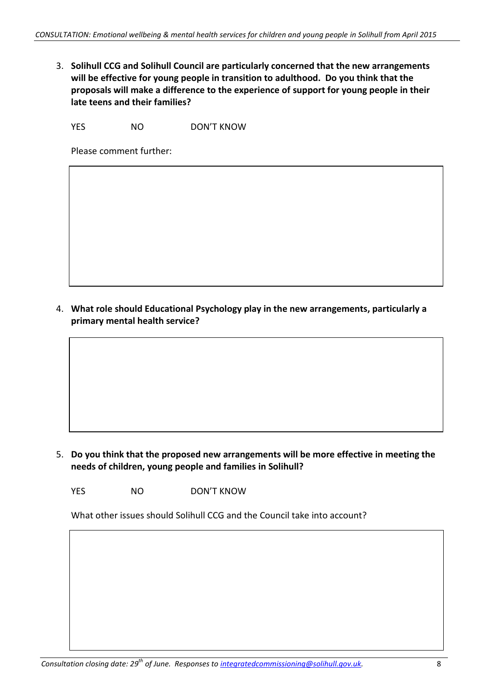3. **Solihull CCG and Solihull Council are particularly concerned that the new arrangements will be effective for young people in transition to adulthood. Do you think that the proposals will make a difference to the experience of support for young people in their late teens and their families?**

YES NO DON'T KNOW

Please comment further:

4. **What role should Educational Psychology play in the new arrangements, particularly a primary mental health service?**

5. **Do you think that the proposed new arrangements will be more effective in meeting the needs of children, young people and families in Solihull?**

YES NO DON'T KNOW

What other issues should Solihull CCG and the Council take into account?